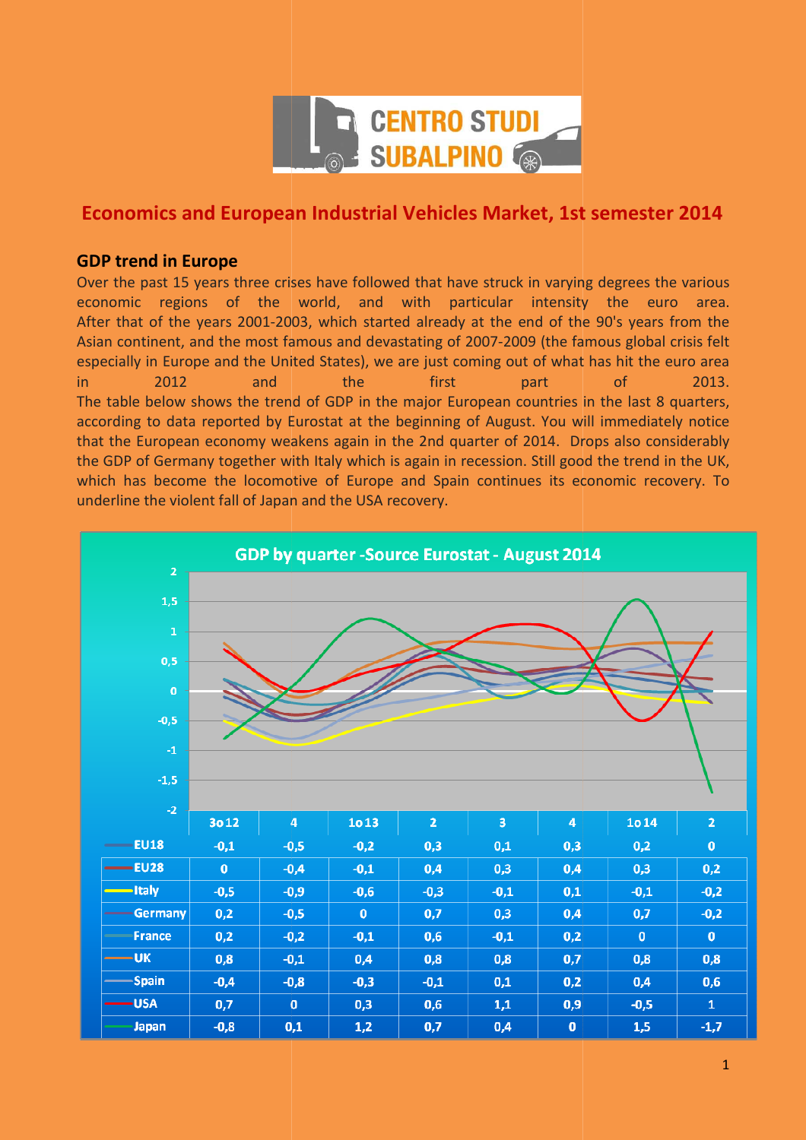

# **Economics and European Industrial Vehicles Market, 1st semester 2014**

### **GDP trend in Europe**

Over the past 15 years three crises have followed that have struck in varying degrees the various economic regions of the world, and with particular intensity the euro area. After that of the years 2001-2003, which started already at the end of the 90's years from the Asian continent, and the most famous and devastating of 2007-2009 (the famous global crisis felt especially in Europe and the United States), we are just coming out of what has hit the euro area in 2012 and The table below shows the trend of GDP in the major European countries in the last 8 quarters, according to data reported by Eurostat at the beginning of August. You will immediately notice that the European economy weakens again in the 2nd quarter of 2014. Drops also considerably the GDP of Germany together with Italy which is again in recession. Still good the trend in the UK, which has become the locomotive of Europe and Spain continues its economic recovery. To underline the violent fall of Japan and the USA recovery. the first part of 2013.

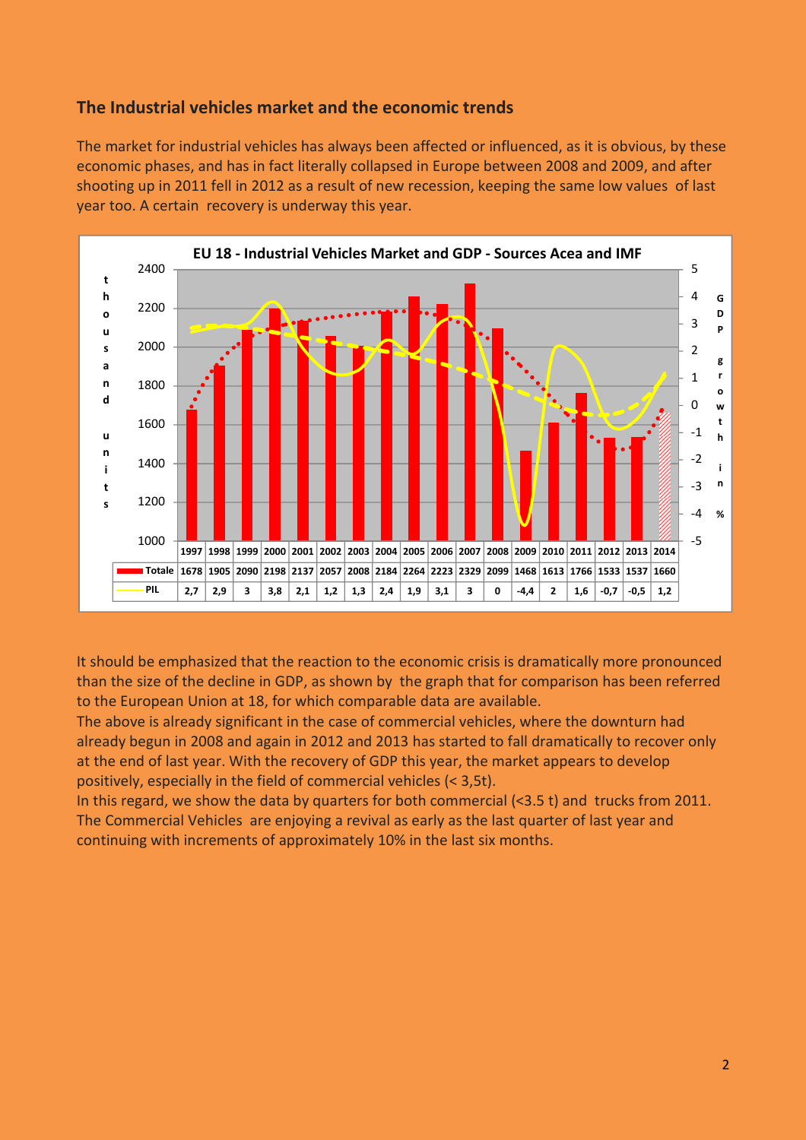## **The Industrial vehicles market and the economic trends**

The market for industrial vehicles has always been affected or influenced, as it is obvious, by these economic phases, and has in fact literally collapsed in Europe between 2008 and 2009, and after shooting up in 2011 fell in 2012 as a result of new recession, keeping the same low values of last year too. A certain recovery is underway this year.



It should be emphasized that the reaction to the economic crisis is dramatically more pronounced than the size of the decline in GDP, as shown by the graph that for comparison has been referred to the European Union at 18, for which comparable data are available.

The above is already significant in the case of commercial vehicles, where the downturn had already begun in 2008 and again in 2012 and 2013 has started to fall dramatically to recover only at the end of last year. With the recovery of GDP this year, the market appears to develop positively, especially in the field of commercial vehicles (< 3,5t).

In this regard, we show the data by quarters for both commercial (<3.5 t) and trucks from 2011. The Commercial Vehicles are enjoying a revival as early as the last quarter of last year and continuing with increments of approximately 10% in the last six months.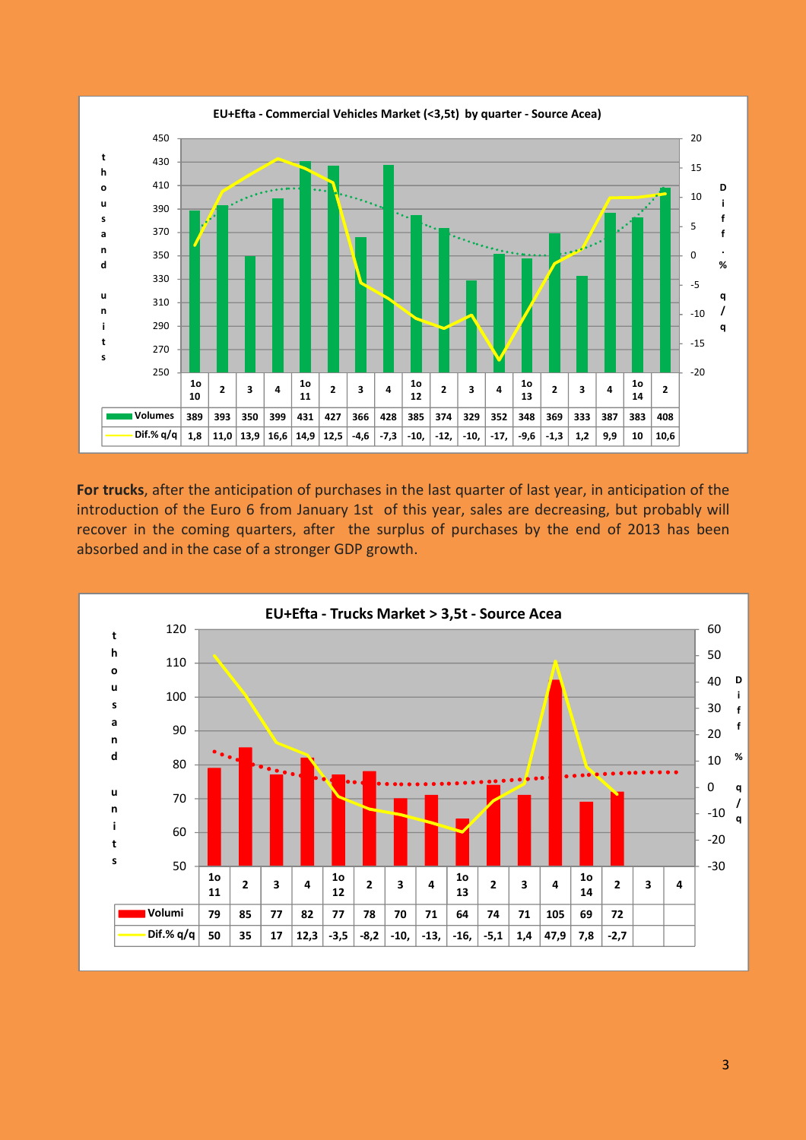

**For trucks**, after the anticipation of purchases in the last quarter of last year, in anticipation of the introduction of the Euro 6 from January 1st of this year, sales are decreasing, but probably will recover in the coming quarters, after the surplus of purchases by the end of 2013 has been absorbed and in the case of a stronger GDP growth.

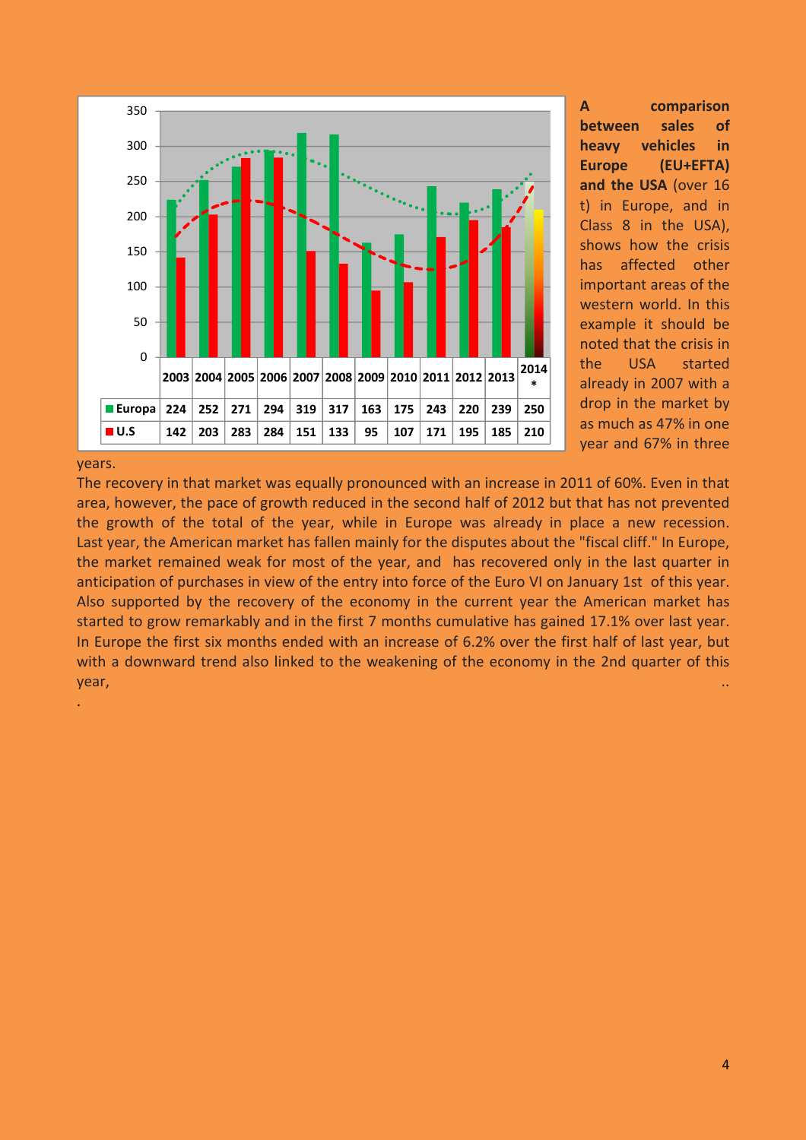

**A comparison between sales of heavy vehicles in Europe (EU+EFTA) and the USA** (over 16 t) in Europe, and in Class 8 in the USA), shows how the crisis has affected other important areas of the western world. In this example it should be noted that the crisis in the USA started already in 2007 with a drop in the market by as much as 47% in one year and 67% in three

#### years.

.

The recovery in that market was equally pronounced with an increase in 2011 of 60%. Even in that area, however, the pace of growth reduced in the second half of 2012 but that has not prevented the growth of the total of the year, while in Europe was already in place a new recession. Last year, the American market has fallen mainly for the disputes about the "fiscal cliff." In Europe, the market remained weak for most of the year, and has recovered only in the last quarter in anticipation of purchases in view of the entry into force of the Euro VI on January 1st of this year. Also supported by the recovery of the economy in the current year the American market has started to grow remarkably and in the first 7 months cumulative has gained 17.1% over last year. In Europe the first six months ended with an increase of 6.2% over the first half of last year, but with a downward trend also linked to the weakening of the economy in the 2nd quarter of this year, ..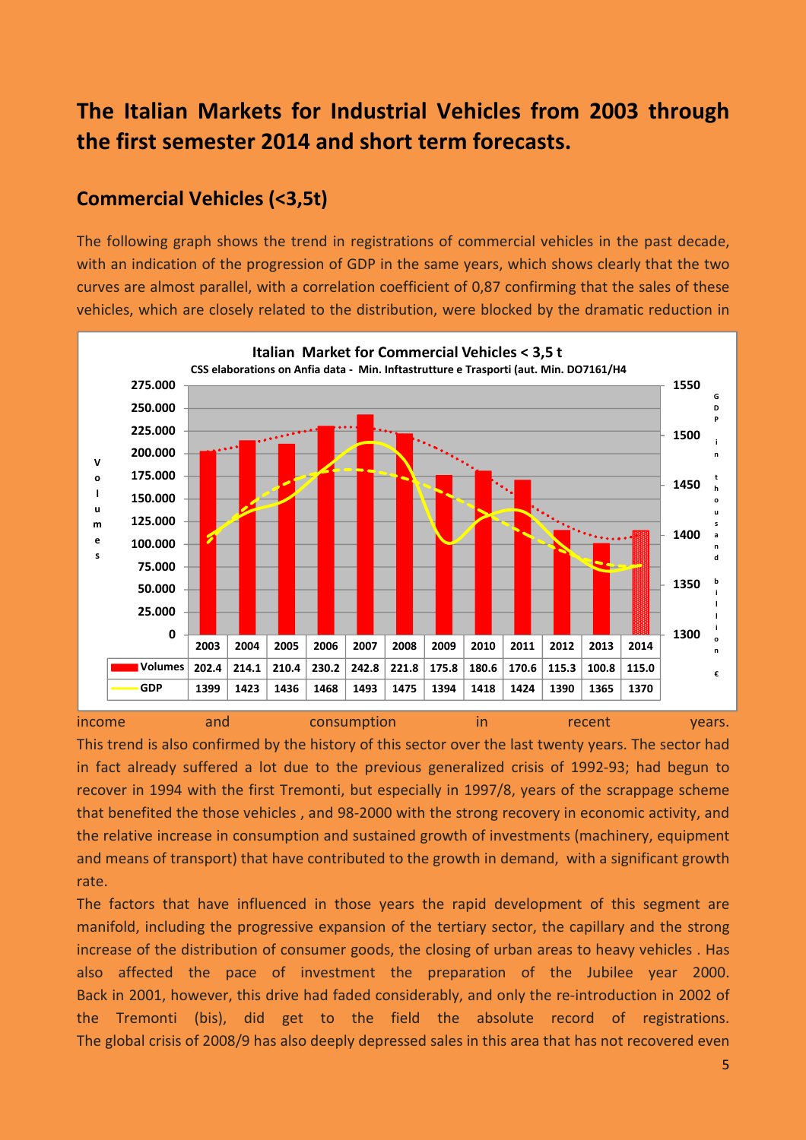# **The Italian Markets for Industrial Vehicles from 2003 through the first semester 2014 and short term forecasts.**

# **Commercial Vehicles (<3,5t)**

The following graph shows the trend in registrations of commercial vehicles in the past decade, with an indication of the progression of GDP in the same years, which shows clearly that the two curves are almost parallel, with a correlation coefficient of 0,87 confirming that the sales of these vehicles, which are closely related to the distribution, were blocked by the dramatic reduction in



This trend is also confirmed by the history of this sector over the last twenty years. The sector had in fact already suffered a lot due to the previous generalized crisis of 1992-93; had begun to recover in 1994 with the first Tremonti, but especially in 1997/8, years of the scrappage scheme that benefited the those vehicles , and 98-2000 with the strong recovery in economic activity, and the relative increase in consumption and sustained growth of investments (machinery, equipment and means of transport) that have contributed to the growth in demand, with a significant growth rate.

The factors that have influenced in those years the rapid development of this segment are manifold, including the progressive expansion of the tertiary sector, the capillary and the strong increase of the distribution of consumer goods, the closing of urban areas to heavy vehicles . Has also affected the pace of investment the preparation of the Jubilee year 2000. Back in 2001, however, this drive had faded considerably, and only the re-introduction in 2002 of the Tremonti (bis), did get to the field the absolute record of registrations. The global crisis of 2008/9 has also deeply depressed sales in this area that has not recovered even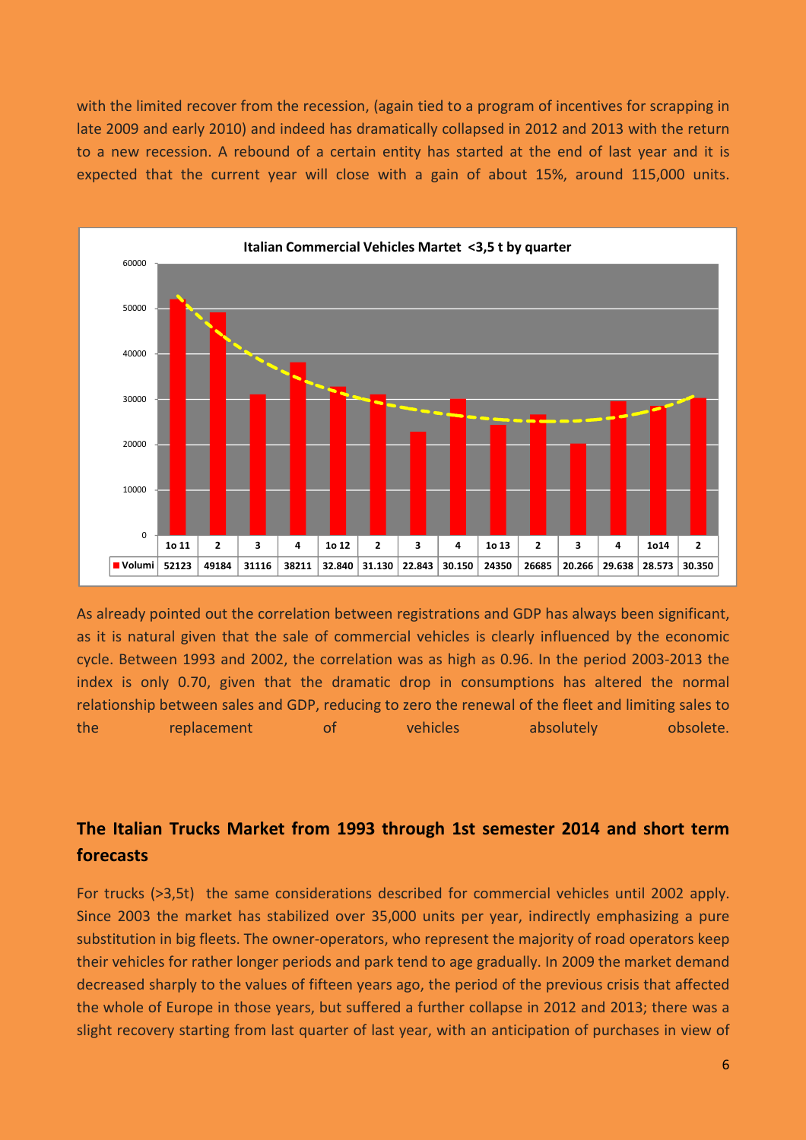with the limited recover from the recession, (again tied to a program of incentives for scrapping in late 2009 and early 2010) and indeed has dramatically collapsed in 2012 and 2013 with the return to a new recession. A rebound of a certain entity has started at the end of last year and it is expected that the current year will close with a gain of about 15%, around 115,000 units.



As already pointed out the correlation between registrations and GDP has always been significant, as it is natural given that the sale of commercial vehicles is clearly influenced by the economic cycle. Between 1993 and 2002, the correlation was as high as 0.96. In the period 2003-2013 the index is only 0.70, given that the dramatic drop in consumptions has altered the normal relationship between sales and GDP, reducing to zero the renewal of the fleet and limiting sales to the replacement of vehicles absolutely obsolete.

# **The Italian Trucks Market from 1993 through 1st semester 2014 and short term forecasts**

For trucks (>3,5t) the same considerations described for commercial vehicles until 2002 apply. Since 2003 the market has stabilized over 35,000 units per year, indirectly emphasizing a pure substitution in big fleets. The owner-operators, who represent the majority of road operators keep their vehicles for rather longer periods and park tend to age gradually. In 2009 the market demand decreased sharply to the values of fifteen years ago, the period of the previous crisis that affected the whole of Europe in those years, but suffered a further collapse in 2012 and 2013; there was a slight recovery starting from last quarter of last year, with an anticipation of purchases in view of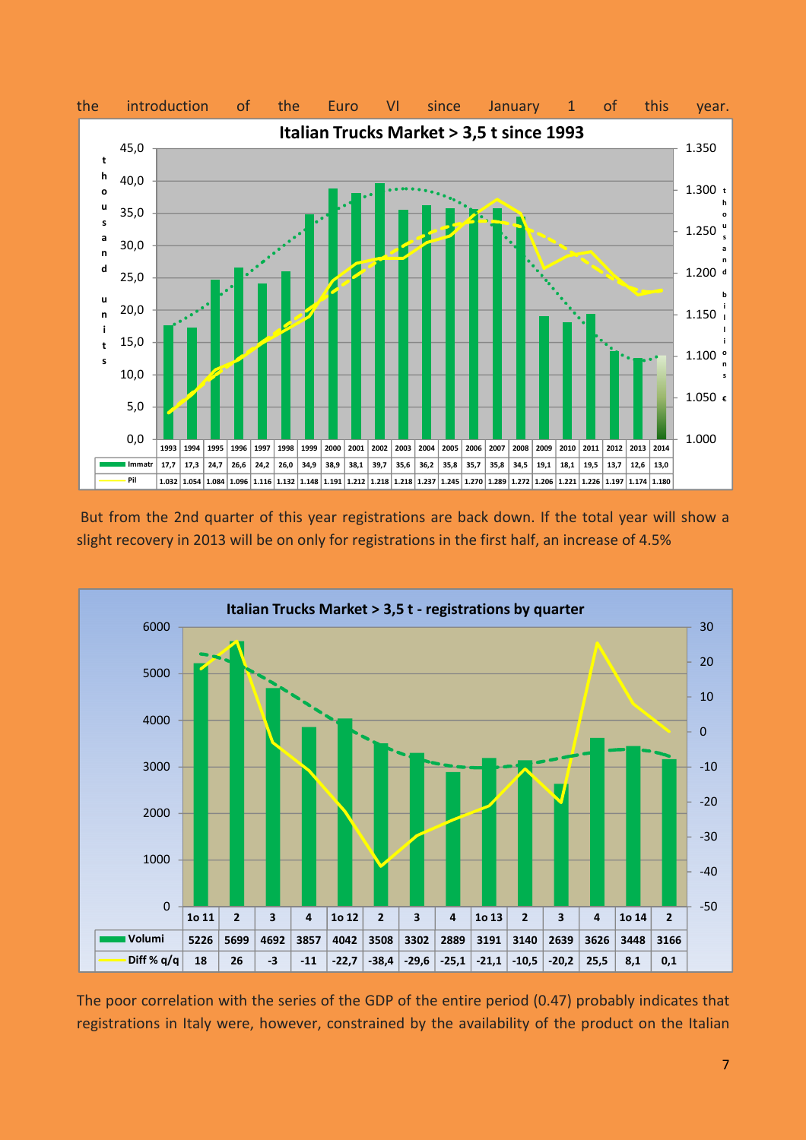

 But from the 2nd quarter of this year registrations are back down. If the total year will show a slight recovery in 2013 will be on only for registrations in the first half, an increase of 4.5%



The poor correlation with the series of the GDP of the entire period (0.47) probably indicates that registrations in Italy were, however, constrained by the availability of the product on the Italian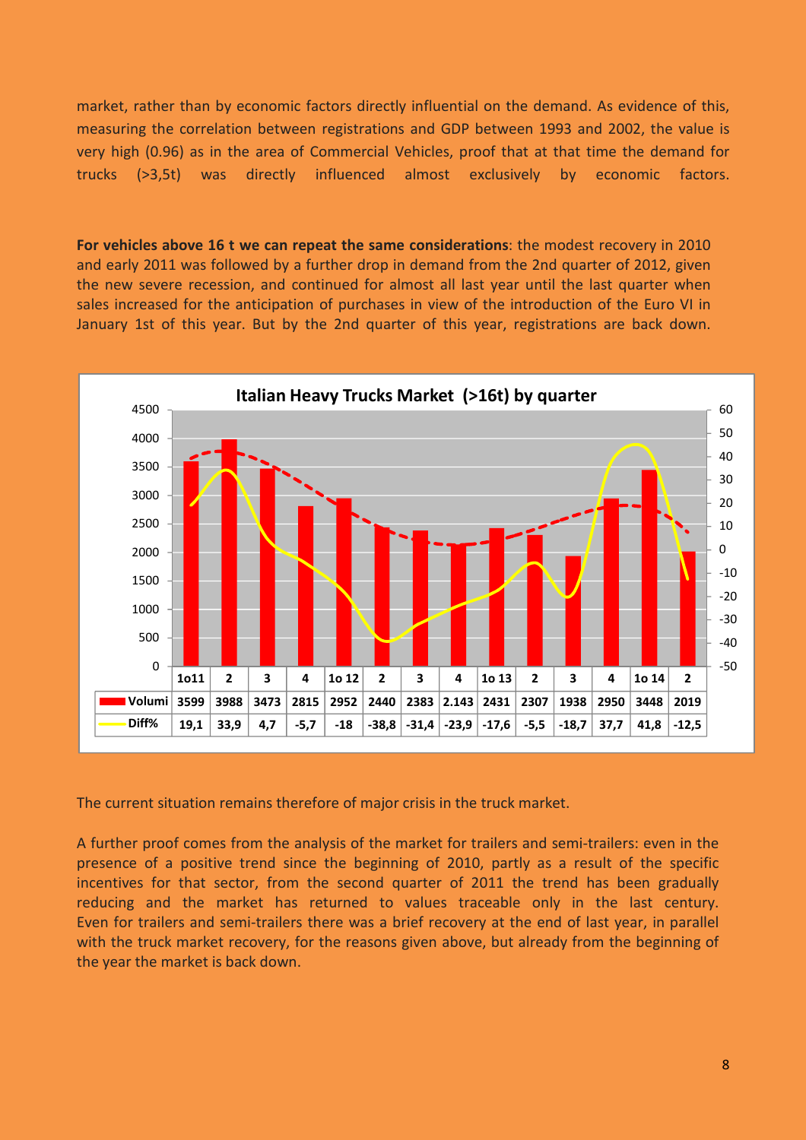market, rather than by economic factors directly influential on the demand. As evidence of this, measuring the correlation between registrations and GDP between 1993 and 2002, the value is very high (0.96) as in the area of Commercial Vehicles, proof that at that time the demand for trucks (>3,5t) was directly influenced almost exclusively by economic factors.

**For vehicles above 16 t we can repeat the same considerations**: the modest recovery in 2010 and early 2011 was followed by a further drop in demand from the 2nd quarter of 2012, given the new severe recession, and continued for almost all last year until the last quarter when sales increased for the anticipation of purchases in view of the introduction of the Euro VI in January 1st of this year. But by the 2nd quarter of this year, registrations are back down.



The current situation remains therefore of major crisis in the truck market.

A further proof comes from the analysis of the market for trailers and semi-trailers: even in the presence of a positive trend since the beginning of 2010, partly as a result of the specific incentives for that sector, from the second quarter of 2011 the trend has been gradually reducing and the market has returned to values traceable only in the last century. Even for trailers and semi-trailers there was a brief recovery at the end of last year, in parallel with the truck market recovery, for the reasons given above, but already from the beginning of the year the market is back down.